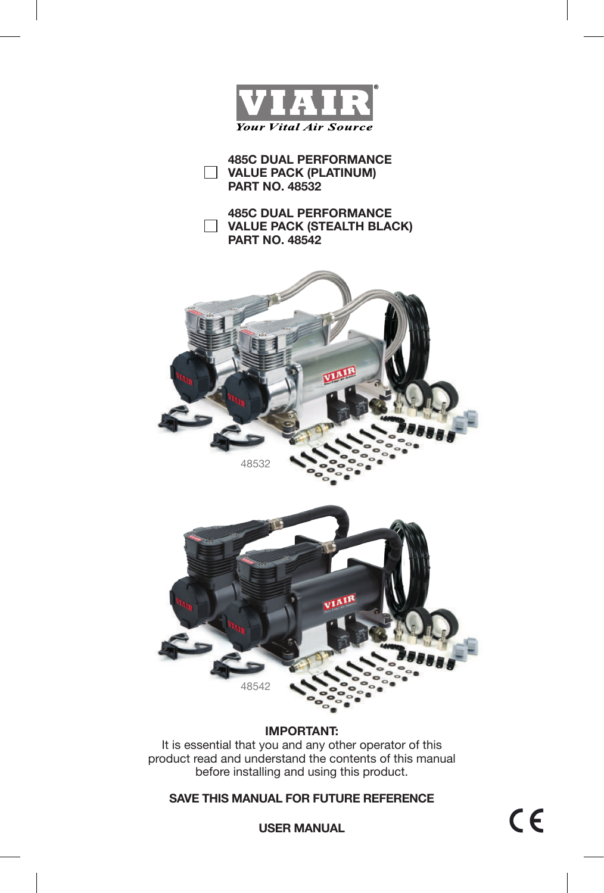

**485C DUAL PERFORMANCE VALUE PACK (PLATINUM) PART NO. 48532**

**485C DUAL PERFORMANCE VALUE PACK (STEALTH BLACK) PART NO. 48542**





**IMPORTANT:**

It is essential that you and any other operator of this product read and understand the contents of this manual before installing and using this product.

**SAVE THIS MANUAL FOR FUTURE REFERENCE**

 $C \in$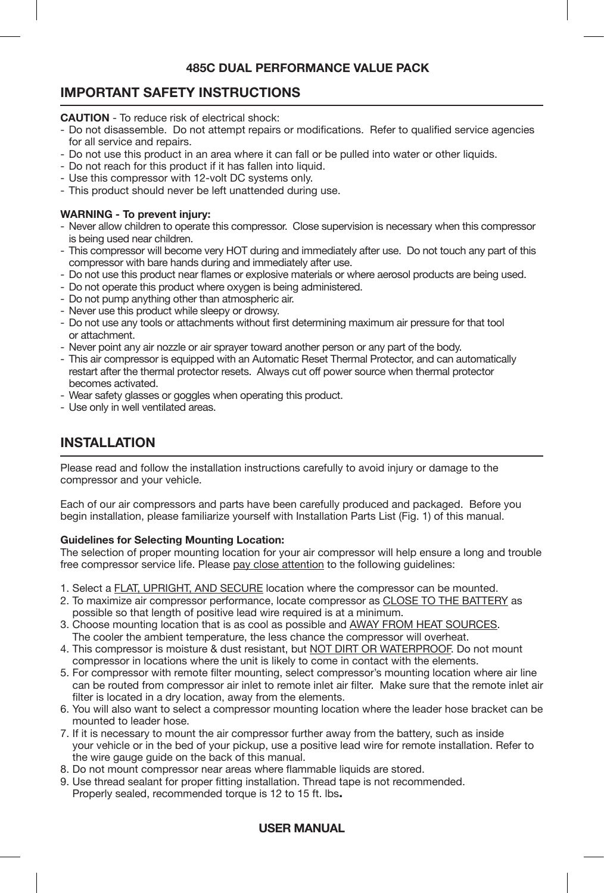# **IMPORTANT SAFETY INSTRUCTIONS**

**CAUTION** - To reduce risk of electrical shock:

- Do not disassemble. Do not attempt repairs or modifications. Refer to qualified service agencies for all service and repairs.
- Do not use this product in an area where it can fall or be pulled into water or other liquids.
- Do not reach for this product if it has fallen into liquid.
- Use this compressor with 12-volt DC systems only.
- This product should never be left unattended during use.

#### **WARNING - To prevent injury:**

- Never allow children to operate this compressor. Close supervision is necessary when this compressor is being used near children.
- This compressor will become very HOT during and immediately after use. Do not touch any part of this compressor with bare hands during and immediately after use.
- Do not use this product near flames or explosive materials or where aerosol products are being used.
- Do not operate this product where oxygen is being administered.
- Do not pump anything other than atmospheric air.
- Never use this product while sleepy or drowsy.
- Do not use any tools or attachments without first determining maximum air pressure for that tool or attachment.
- Never point any air nozzle or air sprayer toward another person or any part of the body.
- This air compressor is equipped with an Automatic Reset Thermal Protector, and can automatically restart after the thermal protector resets. Always cut off power source when thermal protector becomes activated.
- Wear safety glasses or goggles when operating this product.
- Use only in well ventilated areas.

# **INSTALLATION**

Please read and follow the installation instructions carefully to avoid injury or damage to the compressor and your vehicle.

Each of our air compressors and parts have been carefully produced and packaged. Before you begin installation, please familiarize yourself with Installation Parts List (Fig. 1) of this manual.

#### **Guidelines for Selecting Mounting Location:**

The selection of proper mounting location for your air compressor will help ensure a long and trouble free compressor service life. Please pay close attention to the following guidelines:

- 1. Select a FLAT, UPRIGHT, AND SECURE location where the compressor can be mounted.
- 2. To maximize air compressor performance, locate compressor as CLOSE TO THE BATTERY as possible so that length of positive lead wire required is at a minimum.
- 3. Choose mounting location that is as cool as possible and AWAY FROM HEAT SOURCES. The cooler the ambient temperature, the less chance the compressor will overheat.
- 4. This compressor is moisture & dust resistant, but NOT DIRT OR WATERPROOF. Do not mount compressor in locations where the unit is likely to come in contact with the elements.
- 5. For compressor with remote filter mounting, select compressor's mounting location where air line can be routed from compressor air inlet to remote inlet air filter. Make sure that the remote inlet air filter is located in a dry location, away from the elements.
- 6. You will also want to select a compressor mounting location where the leader hose bracket can be mounted to leader hose.
- 7. If it is necessary to mount the air compressor further away from the battery, such as inside your vehicle or in the bed of your pickup, use a positive lead wire for remote installation. Refer to the wire gauge guide on the back of this manual.
- 8. Do not mount compressor near areas where flammable liquids are stored.
- 9. Use thread sealant for proper fitting installation. Thread tape is not recommended. Properly sealed, recommended torque is 12 to 15 ft. lbs**.**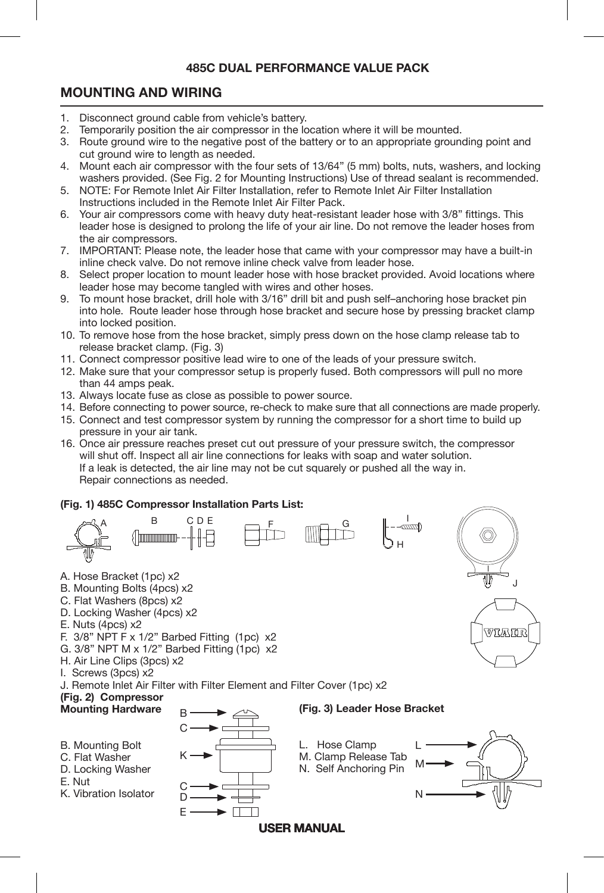# **MOUNTING AND WIRING**

- 1. Disconnect ground cable from vehicle's battery.<br>2. Temporarily position the air compressor in the lo
- 2. Temporarily position the air compressor in the location where it will be mounted.<br>3. Boute ground wire to the negative post of the battery or to an appropriate ground
- Route ground wire to the negative post of the battery or to an appropriate grounding point and cut ground wire to length as needed.
- 4. Mount each air compressor with the four sets of 13/64" (5 mm) bolts, nuts, washers, and locking washers provided. (See Fig. 2 for Mounting Instructions) Use of thread sealant is recommended.<br>5. NOTE: For Remote Inlet Air Filter Installation, refer to Remote Inlet Air Filter Installation
- NOTE: For Remote Inlet Air Filter Installation, refer to Remote Inlet Air Filter Installation Instructions included in the Remote Inlet Air Filter Pack.
- 6. Your air compressors come with heavy duty heat-resistant leader hose with 3/8" fittings. This leader hose is designed to prolong the life of your air line. Do not remove the leader hoses from the air compressors.
- 7. IMPORTANT: Please note, the leader hose that came with your compressor may have a built-in inline check valve. Do not remove inline check valve from leader hose.
- 8. Select proper location to mount leader hose with hose bracket provided. Avoid locations where leader hose may become tangled with wires and other hoses.<br>9. To mount hose bracket, drill hole with 3/16" drill bit and push
- To mount hose bracket, drill hole with 3/16" drill bit and push self-anchoring hose bracket pin into hole. Route leader hose through hose bracket and secure hose by pressing bracket clamp into locked position.
- 10. To remove hose from the hose bracket, simply press down on the hose clamp release tab to release bracket clamp. (Fig. 3)
- 11. Connect compressor positive lead wire to one of the leads of your pressure switch.
- 12. Make sure that your compressor setup is properly fused. Both compressors will pull no more than 44 amps peak.
- 13. Always locate fuse as close as possible to power source.
- 14. Before connecting to power source, re-check to make sure that all connections are made properly.
- 15. Connect and test compressor system by running the compressor for a short time to build up pressure in your air tank.
- 16. Once air pressure reaches preset cut out pressure of your pressure switch, the compressor will shut off. Inspect all air line connections for leaks with soap and water solution. If a leak is detected, the air line may not be cut squarely or pushed all the way in. Repair connections as needed.

#### **(Fig. 1) 485C Compressor Installation Parts List:**

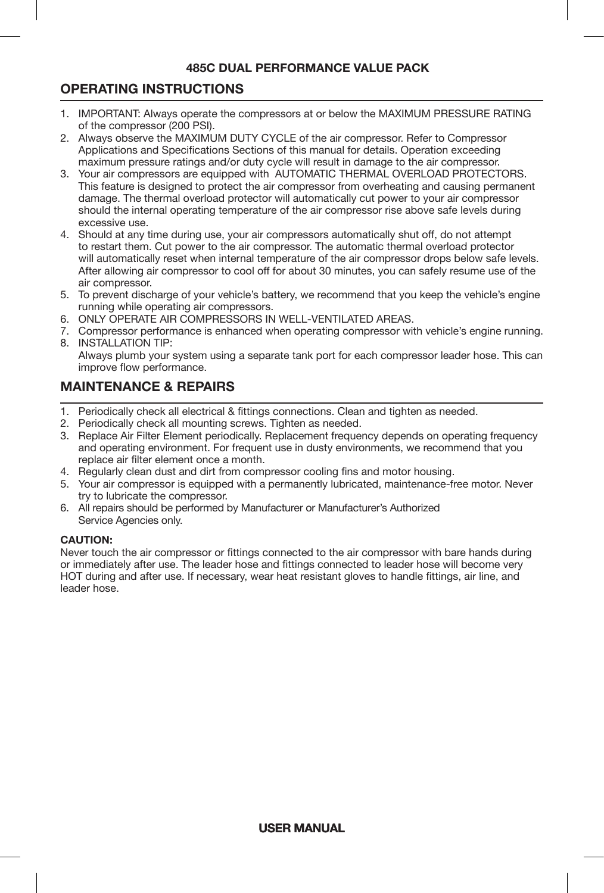# **OPERATING INSTRUCTIONS**

- Ī 1. IMPORTANT: Always operate the compressors at or below the MAXIMUM PRESSURE RATING of the compressor (200 PSI).
- 2. Always observe the MAXIMUM DUTY CYCLE of the air compressor. Refer to Compressor Applications and Specifications Sections of this manual for details. Operation exceeding maximum pressure ratings and/or duty cycle will result in damage to the air compressor.
- 3. Your air compressors are equipped with AUTOMATIC THERMAL OVERLOAD PROTECTORS. This feature is designed to protect the air compressor from overheating and causing permanent damage. The thermal overload protector will automatically cut power to your air compressor should the internal operating temperature of the air compressor rise above safe levels during excessive use.
- 4. Should at any time during use, your air compressors automatically shut off, do not attempt to restart them. Cut power to the air compressor. The automatic thermal overload protector will automatically reset when internal temperature of the air compressor drops below safe levels. After allowing air compressor to cool off for about 30 minutes, you can safely resume use of the air compressor.
- 5. To prevent discharge of your vehicle's battery, we recommend that you keep the vehicle's engine running while operating air compressors.
- 6. ONLY OPERATE AIR COMPRESSORS IN WELL-VENTILATED AREAS.
- 7. Compressor performance is enhanced when operating compressor with vehicle's engine running. 8. INSTALLATION TIP:

# **MAINTENANCE & REPAIRS**

- 1. Periodically check all electrical & fittings connections. Clean and tighten as needed.
- 2. Periodically check all mounting screws. Tighten as needed.
- 3. Replace Air Filter Element periodically. Replacement frequency depends on operating frequency and operating environment. For frequent use in dusty environments, we recommend that you replace air filter element once a month.
- 4. Regularly clean dust and dirt from compressor cooling fins and motor housing.
- 5. Your air compressor is equipped with a permanently lubricated, maintenance-free motor. Never try to lubricate the compressor.
- 6. All repairs should be performed by Manufacturer or Manufacturer's Authorized Service Agencies only.

#### **CAUTION:**

Never touch the air compressor or fittings connected to the air compressor with bare hands during or immediately after use. The leader hose and fittings connected to leader hose will become very HOT during and after use. If necessary, wear heat resistant gloves to handle fittings, air line, and leader hose.

Always plumb your system using a separate tank port for each compressor leader hose. This can improve flow performance.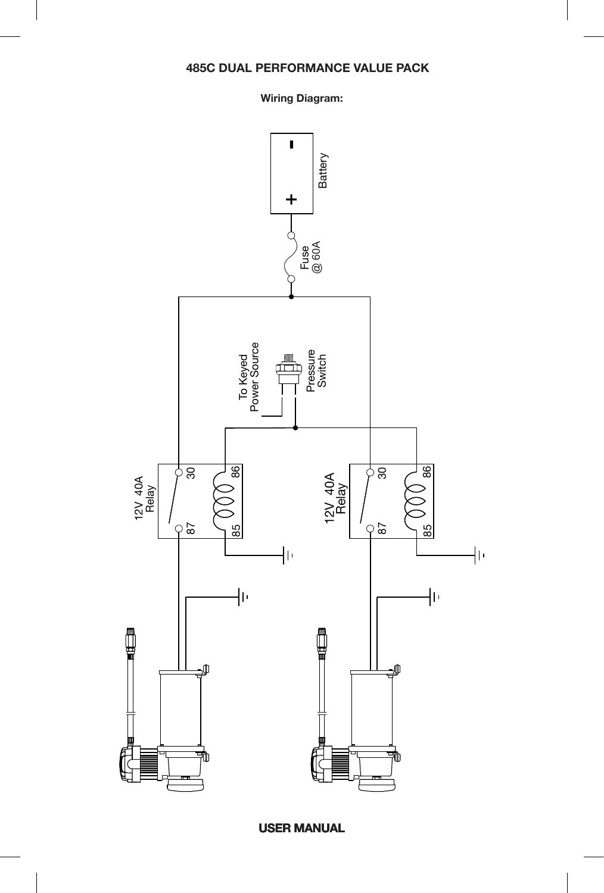#### **Wiring Diagram:**

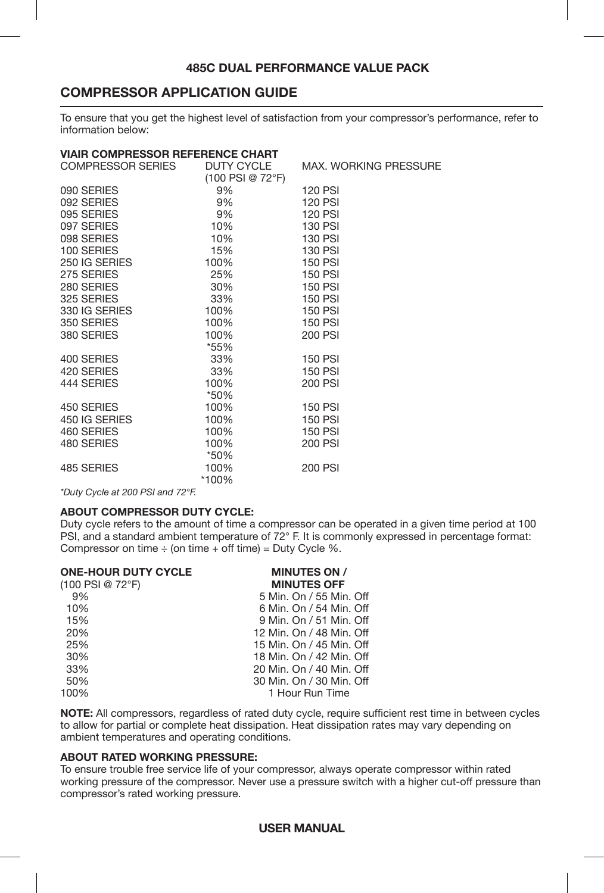# **COMPRESSOR APPLICATION GUIDE**

To ensure that you get the highest level of satisfaction from your compressor's performance, refer to information below:

#### **VIAIR COMPRESSOR REFERENCE CHART**

| COMPRESSOR SERIES | DUTY CYCLE<br>(100 PSI @ 72°F) | <b>MAX. WORKING PRESSURE</b> |
|-------------------|--------------------------------|------------------------------|
| 090 SERIES        | 9%                             | <b>120 PSI</b>               |
| 092 SERIES        | 9%                             | <b>120 PSI</b>               |
| 095 SERIES        | 9%                             | <b>120 PSI</b>               |
| 097 SERIES        | 10%                            | <b>130 PSI</b>               |
| 098 SERIES        | 10%                            | <b>130 PSI</b>               |
| 100 SERIES        | 15%                            | <b>130 PSI</b>               |
| 250 IG SERIES     | 100%                           | <b>150 PSI</b>               |
| 275 SERIES        | 25%                            | <b>150 PSI</b>               |
| 280 SERIES        | 30%                            | <b>150 PSI</b>               |
| 325 SERIES        | 33%                            | <b>150 PSI</b>               |
| 330 IG SERIES     | 100%                           | <b>150 PSI</b>               |
| 350 SERIES        | 100%                           | <b>150 PSI</b>               |
| 380 SERIES        | 100%                           | 200 PSI                      |
|                   | *55%                           |                              |
| 400 SERIES        | 33%                            | <b>150 PSI</b>               |
| 420 SERIES        | 33%                            | <b>150 PSI</b>               |
| 444 SERIES        | 100%                           | 200 PSI                      |
|                   | *50%                           |                              |
| 450 SERIES        | 100%                           | <b>150 PSI</b>               |
| 450 IG SERIES     | 100%                           | <b>150 PSI</b>               |
| 460 SERIES        | 100%                           | <b>150 PSI</b>               |
| 480 SERIES        | 100%                           | <b>200 PSI</b>               |
|                   | *50%                           |                              |
| 485 SERIES        | 100%                           | 200 PSI                      |
|                   | *100%                          |                              |

*\*Duty Cycle at 200 PSI and 72°F.*

#### **ABOUT COMPRESSOR DUTY CYCLE:**

Duty cycle refers to the amount of time a compressor can be operated in a given time period at 100 PSI, and a standard ambient temperature of 72° F. It is commonly expressed in percentage format: Compressor on time  $\div$  (on time  $+$  off time) = Duty Cycle %.

| <b>ONE-HOUR DUTY CYCLE</b> | <b>MINUTES ON /</b>      |  |  |
|----------------------------|--------------------------|--|--|
| $(100$ PSI @ 72°F)         | <b>MINUTES OFF</b>       |  |  |
| 9%                         | 5 Min. On / 55 Min. Off  |  |  |
| 10%                        | 6 Min. On / 54 Min. Off  |  |  |
| 15%                        | 9 Min. On / 51 Min. Off  |  |  |
| 20%                        | 12 Min. On / 48 Min. Off |  |  |
| 25%                        | 15 Min. On / 45 Min. Off |  |  |
| 30%                        | 18 Min. On / 42 Min. Off |  |  |
| 33%                        | 20 Min. On / 40 Min. Off |  |  |
| 50%                        | 30 Min. On / 30 Min. Off |  |  |
| 100%                       | 1 Hour Run Time          |  |  |
|                            |                          |  |  |

**NOTE:** All compressors, regardless of rated duty cycle, require sufficient rest time in between cycles to allow for partial or complete heat dissipation. Heat dissipation rates may vary depending on ambient temperatures and operating conditions.

#### **ABOUT RATED WORKING PRESSURE:**

To ensure trouble free service life of your compressor, always operate compressor within rated working pressure of the compressor. Never use a pressure switch with a higher cut-off pressure than compressor's rated working pressure.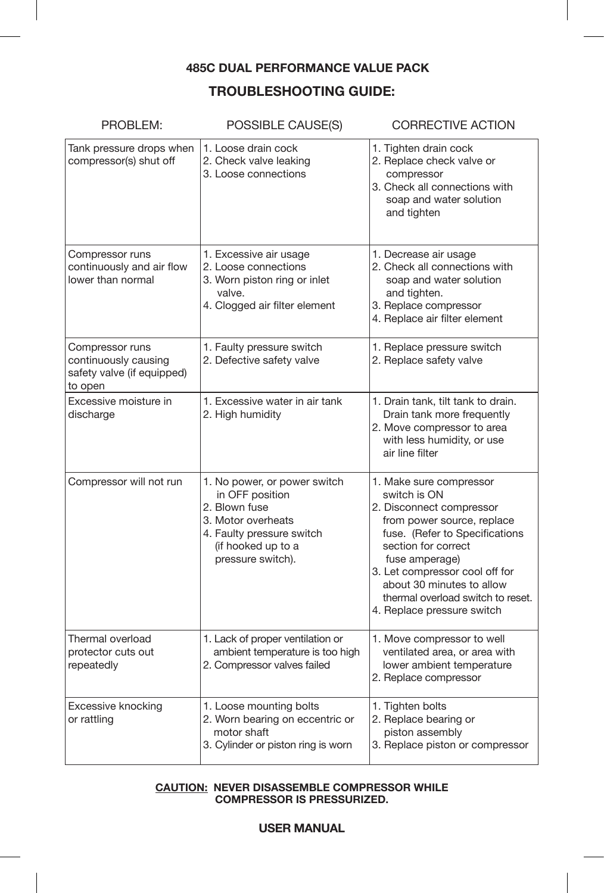# **TROUBLESHOOTING GUIDE:**

| PROBLEM:                                                                         | POSSIBLE CAUSE(S)                                                                                                                                              | <b>CORRECTIVE ACTION</b>                                                                                                                                                                                                                                                                                       |
|----------------------------------------------------------------------------------|----------------------------------------------------------------------------------------------------------------------------------------------------------------|----------------------------------------------------------------------------------------------------------------------------------------------------------------------------------------------------------------------------------------------------------------------------------------------------------------|
| Tank pressure drops when<br>compressor(s) shut off                               | 1. Loose drain cock<br>2. Check valve leaking<br>3. Loose connections                                                                                          | 1. Tighten drain cock<br>2. Replace check valve or<br>compressor<br>3. Check all connections with<br>soap and water solution<br>and tighten                                                                                                                                                                    |
| Compressor runs<br>continuously and air flow<br>lower than normal                | 1. Excessive air usage<br>2. Loose connections<br>3. Worn piston ring or inlet<br>valve.<br>4. Clogged air filter element                                      | 1. Decrease air usage<br>2. Check all connections with<br>soap and water solution<br>and tighten.<br>3. Replace compressor<br>4. Replace air filter element                                                                                                                                                    |
| Compressor runs<br>continuously causing<br>safety valve (if equipped)<br>to open | 1. Faulty pressure switch<br>2. Defective safety valve                                                                                                         | 1. Replace pressure switch<br>2. Replace safety valve                                                                                                                                                                                                                                                          |
| Excessive moisture in<br>discharge                                               | 1. Excessive water in air tank<br>2. High humidity                                                                                                             | 1. Drain tank, tilt tank to drain.<br>Drain tank more frequently<br>2. Move compressor to area<br>with less humidity, or use<br>air line filter                                                                                                                                                                |
| Compressor will not run                                                          | 1. No power, or power switch<br>in OFF position<br>2. Blown fuse<br>3. Motor overheats<br>4. Faulty pressure switch<br>(if hooked up to a<br>pressure switch). | 1. Make sure compressor<br>switch is ON<br>2. Disconnect compressor<br>from power source, replace<br>fuse. (Refer to Specifications<br>section for correct<br>fuse amperage)<br>3. Let compressor cool off for<br>about 30 minutes to allow<br>thermal overload switch to reset.<br>4. Replace pressure switch |
| Thermal overload<br>protector cuts out<br>repeatedly                             | 1. Lack of proper ventilation or<br>ambient temperature is too high<br>2. Compressor valves failed                                                             | 1. Move compressor to well<br>ventilated area, or area with<br>lower ambient temperature<br>2. Replace compressor                                                                                                                                                                                              |
| Excessive knocking<br>or rattling                                                | 1. Loose mounting bolts<br>2. Worn bearing on eccentric or<br>motor shaft<br>3. Cylinder or piston ring is worn                                                | 1. Tighten bolts<br>2. Replace bearing or<br>piston assembly<br>3. Replace piston or compressor                                                                                                                                                                                                                |

#### **CAUTION: NEVER DISASSEMBLE COMPRESSOR WHILE COMPRESSOR IS PRESSURIZED.**